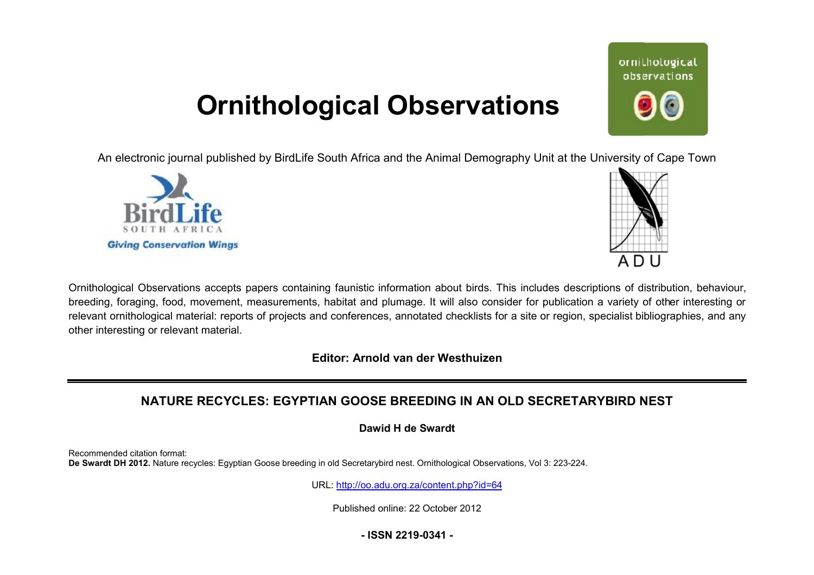## **Ornithological Observations**

An electronic journal published by BirdLife South Africa and the Animal Demography Unit at the University of Cape Town





Ornithological Observations accepts papers containing faunistic information about birds. This includes descriptions of distribution, behaviour, breeding, foraging, food, movement, measurements, habitat and plumage. It will also consider for publication a variety of other interesting or relevant ornithological material: reports of projects and conferences, annotated checklists for a site or region, specialist bibliographies, and any other interesting or relevant material.

**Editor: Arnold van der Westhuizen**

### **NATURE RECYCLES: EGYPTIAN GOOSE BREEDING IN AN OLD SECRETARYBIRD NEST**

**Dawid H de Swardt** 

Recommended citation format: **De Swardt DH 2012.** Nature recycles: Egyptian Goose breeding in old Secretarybird nest. Ornithological Observations, Vol 3: 223-224.

URL: <http://oo.adu.org.za/content.php?id=64>

Published online: 22 October 2012

**- ISSN 2219-0341 -** 

# ornithological observations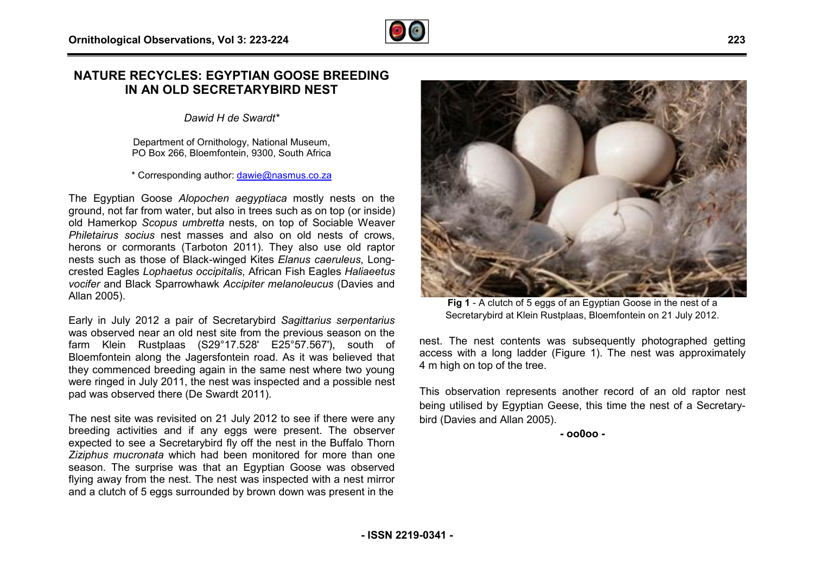### **NATURE RECYCLES: EGYPTIAN GOOSE BREEDING IN AN OLD SECRETARYBIRD NEST**

*Dawid H de Swardt\**

Department of Ornithology, National Museum, PO Box 266, Bloemfontein, 9300, South Africa

\* Corresponding author: [dawie@nasmus.co.za](mailto:dawie@nasmus.co.za)

The Egyptian Goose *Alopochen aegyptiaca* mostly nests on the ground, not far from water, but also in trees such as on top (or inside) old Hamerkop *Scopus umbretta* nests, on top of Sociable Weaver *Philetairus socius* nest masses and also on old nests of crows, herons or cormorants (Tarboton 2011). They also use old raptor nests such as those of Black-winged Kites *Elanus caeruleus* , Long crested Eagles *Lophaetus occipitalis*, African Fish Eagles *Haliaeetus*  vocifer and Black Sparrowhawk Accipiter melanoleucus (Davies and Allan 2005).

Early in July 2012 a pair of Secretarybird *Sagittarius serpentar sserpentarius* was observed near an old nest site from the previous season on the farm Klein Rustplaas (S29°17.528' E25°57.567'), south of farm Klein Rustplaas (S29°17.528' E25°57.567'), south of<br>Bloemfontein-along-the-Jagersfontein-road. As it was-believed-that they commenced breeding again in the same nest where two young were ringed in July 2011, the nest was inspected and a possible nest pad was observed there (De Swardt 2011).

The nest site was revisited on 21 July 2012 to see if there were any breeding activities and if any eggs were present. The observer expected to see a Secretarybird fly off the nest in the Buffalo Thorn *Ziziphus mucronata* which had been monitored for more than one season. The surprise was that an Egyptian Goose was observed flying away from the nest. The nest was inspected with a nest mirror and a clutch of 5 eggs surrounded by brown down was present in the , the nest was inspected and a possible nest<br>(De Swardt 2011).<br>ed on 21 July 2012 to see if there were any<br>if any eggs were present. The observer<br>tarybird fly off the nest in the Buffalo Thorn<br>ch had been monitored for mor



**Fig 1** - A clutch of 5 eggs of an Egyptian Goose in the nest of a Secretarybird at Klein Rustplaas, Bloemfontein on 21 July 2012.

nest. The nest contents was subsequently photographed getting access with a long ladder (Figure 1). The nest was approximately 4 m high on top of the tree.

This observation represents another record of an old raptor nest being utilised by Egyptian Geese, this time the nest of a Secretarybird (Davies and Allan 2005).

**- oo0oo -**